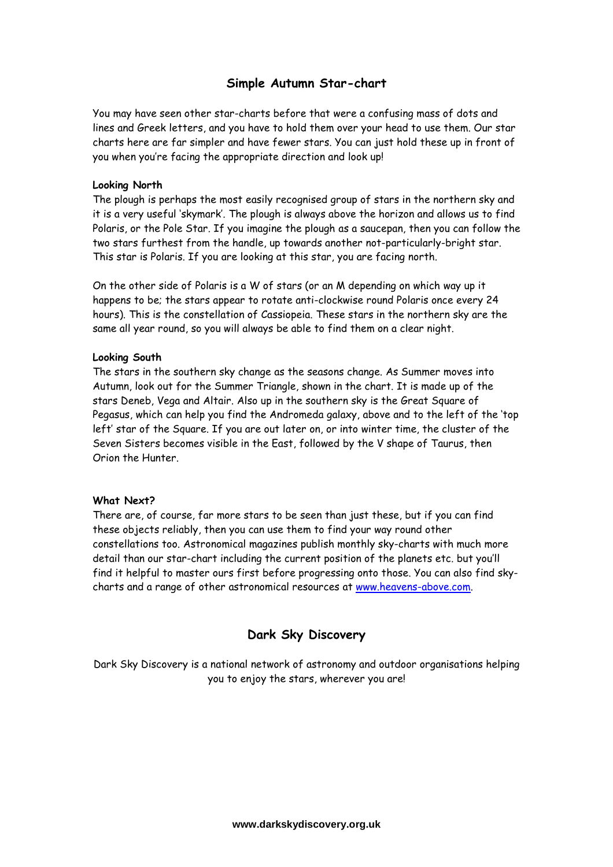# **Simple Autumn Star-chart**

You may have seen other star-charts before that were a confusing mass of dots and lines and Greek letters, and you have to hold them over your head to use them. Our star charts here are far simpler and have fewer stars. You can just hold these up in front of you when you're facing the appropriate direction and look up!

### **Looking North**

The plough is perhaps the most easily recognised group of stars in the northern sky and it is a very useful 'skymark'. The plough is always above the horizon and allows us to find Polaris, or the Pole Star. If you imagine the plough as a saucepan, then you can follow the two stars furthest from the handle, up towards another not-particularly-bright star. This star is Polaris. If you are looking at this star, you are facing north.

On the other side of Polaris is a W of stars (or an M depending on which way up it happens to be; the stars appear to rotate anti-clockwise round Polaris once every 24 hours). This is the constellation of Cassiopeia. These stars in the northern sky are the same all year round, so you will always be able to find them on a clear night.

#### **Looking South**

The stars in the southern sky change as the seasons change. As Summer moves into Autumn, look out for the Summer Triangle, shown in the chart. It is made up of the stars Deneb, Vega and Altair. Also up in the southern sky is the Great Square of Pegasus, which can help you find the Andromeda galaxy, above and to the left of the 'top left' star of the Square. If you are out later on, or into winter time, the cluster of the Seven Sisters becomes visible in the East, followed by the V shape of Taurus, then Orion the Hunter.

### **What Next?**

There are, of course, far more stars to be seen than just these, but if you can find these objects reliably, then you can use them to find your way round other constellations too. Astronomical magazines publish monthly sky-charts with much more detail than our star-chart including the current position of the planets etc. but you'll find it helpful to master ours first before progressing onto those. You can also find skycharts and a range of other astronomical resources at www.heavens-above.com.

# **Dark Sky Discovery**

Dark Sky Discovery is a national network of astronomy and outdoor organisations helping you to enjoy the stars, wherever you are!